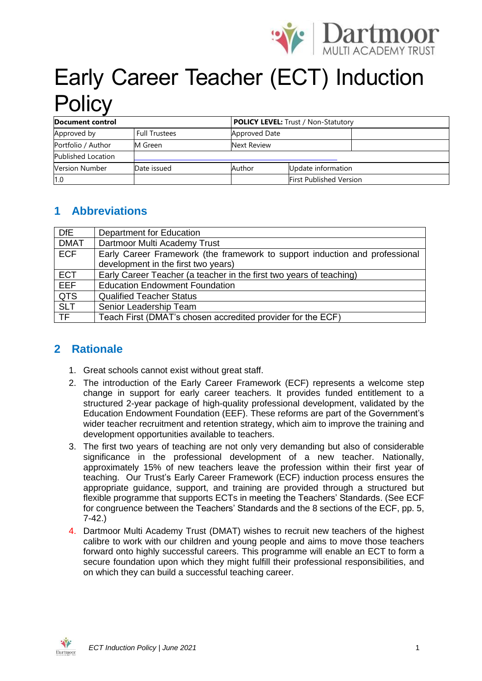

# Early Career Teacher (ECT) Induction **Policy**

| Document control          |                      |               | <b>POLICY LEVEL:</b> Trust / Non-Statutory |  |  |
|---------------------------|----------------------|---------------|--------------------------------------------|--|--|
| Approved by               | <b>Full Trustees</b> | Approved Date |                                            |  |  |
| Portfolio / Author        | M Green              | Next Review   |                                            |  |  |
| <b>Published Location</b> |                      |               |                                            |  |  |
| <b>Version Number</b>     | Date issued          | Author        | Update information                         |  |  |
| 1.0                       |                      |               | <b>First Published Version</b>             |  |  |

# **1 Abbreviations**

| <b>DfE</b>  | Department for Education                                                    |  |  |  |
|-------------|-----------------------------------------------------------------------------|--|--|--|
| <b>DMAT</b> | Dartmoor Multi Academy Trust                                                |  |  |  |
| <b>ECF</b>  | Early Career Framework (the framework to support induction and professional |  |  |  |
|             | development in the first two years)                                         |  |  |  |
| <b>ECT</b>  | Early Career Teacher (a teacher in the first two years of teaching)         |  |  |  |
| <b>EEF</b>  | <b>Education Endowment Foundation</b>                                       |  |  |  |
| <b>QTS</b>  | <b>Qualified Teacher Status</b>                                             |  |  |  |
| <b>SLT</b>  | Senior Leadership Team                                                      |  |  |  |
| <b>TF</b>   | Teach First (DMAT's chosen accredited provider for the ECF)                 |  |  |  |

## **2 Rationale**

- 1. Great schools cannot exist without great staff.
- 2. The introduction of the Early Career Framework (ECF) represents a welcome step change in support for early career teachers. It provides funded entitlement to a structured 2-year package of high-quality professional development, validated by the Education Endowment Foundation (EEF). These reforms are part of the Government's wider teacher recruitment and retention strategy, which aim to improve the training and development opportunities available to teachers.
- 3. The first two years of teaching are not only very demanding but also of considerable significance in the professional development of a new teacher. Nationally, approximately 15% of new teachers leave the profession within their first year of teaching. Our Trust's Early Career Framework (ECF) induction process ensures the appropriate guidance, support, and training are provided through a structured but flexible programme that supports ECTs in meeting the Teachers' Standards. (See ECF for congruence between the Teachers' Standards and the 8 sections of the ECF, pp. 5, 7-42.)
- 4. Dartmoor Multi Academy Trust (DMAT) wishes to recruit new teachers of the highest calibre to work with our children and young people and aims to move those teachers forward onto highly successful careers. This programme will enable an ECT to form a secure foundation upon which they might fulfill their professional responsibilities, and on which they can build a successful teaching career.

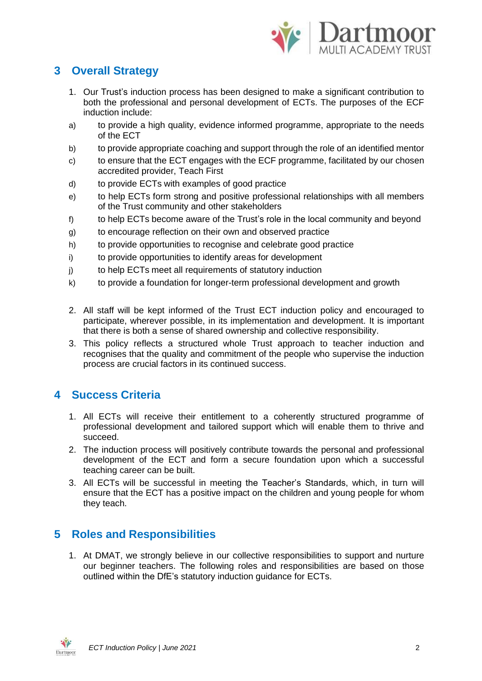

# **3 Overall Strategy**

- 1. Our Trust's induction process has been designed to make a significant contribution to both the professional and personal development of ECTs. The purposes of the ECF induction include:
- a) to provide a high quality, evidence informed programme, appropriate to the needs of the ECT
- b) to provide appropriate coaching and support through the role of an identified mentor
- c) to ensure that the ECT engages with the ECF programme, facilitated by our chosen accredited provider, Teach First
- d) to provide ECTs with examples of good practice
- e) to help ECTs form strong and positive professional relationships with all members of the Trust community and other stakeholders
- f) to help ECTs become aware of the Trust's role in the local community and beyond
- g) to encourage reflection on their own and observed practice
- h) to provide opportunities to recognise and celebrate good practice
- i) to provide opportunities to identify areas for development
- j) to help ECTs meet all requirements of statutory induction
- k) to provide a foundation for longer-term professional development and growth
- 2. All staff will be kept informed of the Trust ECT induction policy and encouraged to participate, wherever possible, in its implementation and development. It is important that there is both a sense of shared ownership and collective responsibility.
- 3. This policy reflects a structured whole Trust approach to teacher induction and recognises that the quality and commitment of the people who supervise the induction process are crucial factors in its continued success.

## **4 Success Criteria**

- 1. All ECTs will receive their entitlement to a coherently structured programme of professional development and tailored support which will enable them to thrive and succeed.
- 2. The induction process will positively contribute towards the personal and professional development of the ECT and form a secure foundation upon which a successful teaching career can be built.
- 3. All ECTs will be successful in meeting the Teacher's Standards, which, in turn will ensure that the ECT has a positive impact on the children and young people for whom they teach.

## **5 Roles and Responsibilities**

1. At DMAT, we strongly believe in our collective responsibilities to support and nurture our beginner teachers. The following roles and responsibilities are based on those outlined within the DfE's statutory induction guidance for ECTs.

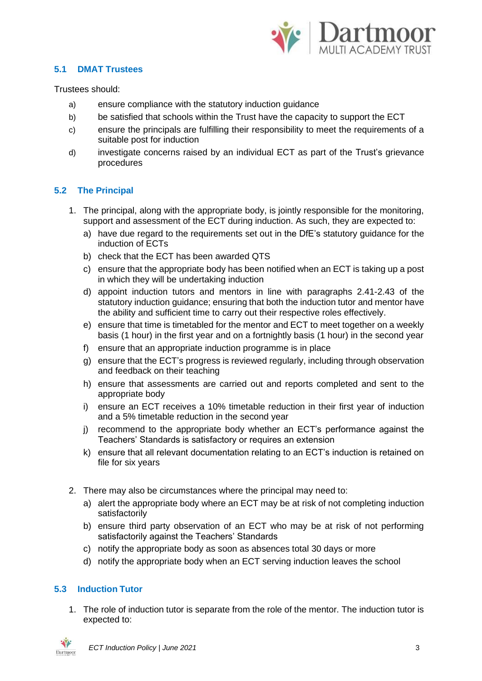

#### **5.1 DMAT Trustees**

Trustees should:

- a) ensure compliance with the statutory induction guidance
- b) be satisfied that schools within the Trust have the capacity to support the ECT
- c) ensure the principals are fulfilling their responsibility to meet the requirements of a suitable post for induction
- d) investigate concerns raised by an individual ECT as part of the Trust's grievance procedures

#### **5.2 The Principal**

- 1. The principal, along with the appropriate body, is jointly responsible for the monitoring, support and assessment of the ECT during induction. As such, they are expected to:
	- a) have due regard to the requirements set out in the DfE's statutory guidance for the induction of ECTs
	- b) check that the ECT has been awarded QTS
	- c) ensure that the appropriate body has been notified when an ECT is taking up a post in which they will be undertaking induction
	- d) appoint induction tutors and mentors in line with paragraphs 2.41-2.43 of the statutory induction guidance; ensuring that both the induction tutor and mentor have the ability and sufficient time to carry out their respective roles effectively.
	- e) ensure that time is timetabled for the mentor and ECT to meet together on a weekly basis (1 hour) in the first year and on a fortnightly basis (1 hour) in the second year
	- f) ensure that an appropriate induction programme is in place
	- g) ensure that the ECT's progress is reviewed regularly, including through observation and feedback on their teaching
	- h) ensure that assessments are carried out and reports completed and sent to the appropriate body
	- i) ensure an ECT receives a 10% timetable reduction in their first year of induction and a 5% timetable reduction in the second year
	- j) recommend to the appropriate body whether an ECT's performance against the Teachers' Standards is satisfactory or requires an extension
	- k) ensure that all relevant documentation relating to an ECT's induction is retained on file for six years
- 2. There may also be circumstances where the principal may need to:
	- a) alert the appropriate body where an ECT may be at risk of not completing induction satisfactorily
	- b) ensure third party observation of an ECT who may be at risk of not performing satisfactorily against the Teachers' Standards
	- c) notify the appropriate body as soon as absences total 30 days or more
	- d) notify the appropriate body when an ECT serving induction leaves the school

#### **5.3 Induction Tutor**

1. The role of induction tutor is separate from the role of the mentor. The induction tutor is expected to:

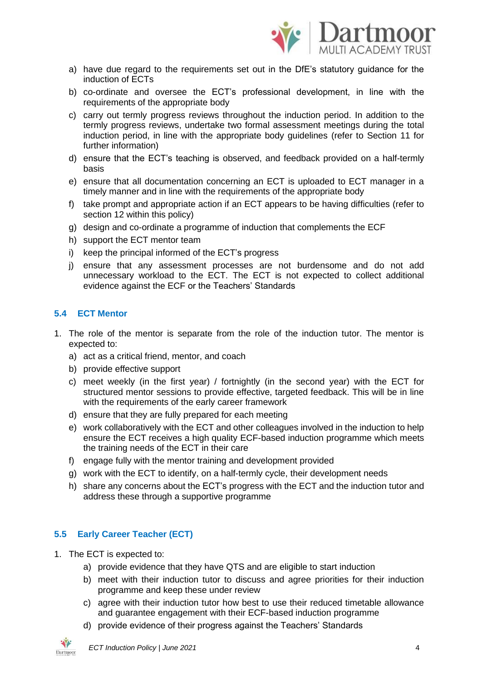

- a) have due regard to the requirements set out in the DfE's statutory guidance for the induction of ECTs
- b) co-ordinate and oversee the ECT's professional development, in line with the requirements of the appropriate body
- c) carry out termly progress reviews throughout the induction period. In addition to the termly progress reviews, undertake two formal assessment meetings during the total induction period, in line with the appropriate body guidelines (refer to Section 11 for further information)
- d) ensure that the ECT's teaching is observed, and feedback provided on a half-termly basis
- e) ensure that all documentation concerning an ECT is uploaded to ECT manager in a timely manner and in line with the requirements of the appropriate body
- f) take prompt and appropriate action if an ECT appears to be having difficulties (refer to section 12 within this policy)
- g) design and co-ordinate a programme of induction that complements the ECF
- h) support the ECT mentor team
- i) keep the principal informed of the ECT's progress
- j) ensure that any assessment processes are not burdensome and do not add unnecessary workload to the ECT. The ECT is not expected to collect additional evidence against the ECF or the Teachers' Standards

#### **5.4 ECT Mentor**

- 1. The role of the mentor is separate from the role of the induction tutor. The mentor is expected to:
	- a) act as a critical friend, mentor, and coach
	- b) provide effective support
	- c) meet weekly (in the first year) / fortnightly (in the second year) with the ECT for structured mentor sessions to provide effective, targeted feedback. This will be in line with the requirements of the early career framework
	- d) ensure that they are fully prepared for each meeting
	- e) work collaboratively with the ECT and other colleagues involved in the induction to help ensure the ECT receives a high quality ECF-based induction programme which meets the training needs of the ECT in their care
	- f) engage fully with the mentor training and development provided
	- g) work with the ECT to identify, on a half-termly cycle, their development needs
	- h) share any concerns about the ECT's progress with the ECT and the induction tutor and address these through a supportive programme

#### **5.5 Early Career Teacher (ECT)**

- 1. The ECT is expected to:
	- a) provide evidence that they have QTS and are eligible to start induction
	- b) meet with their induction tutor to discuss and agree priorities for their induction programme and keep these under review
	- c) agree with their induction tutor how best to use their reduced timetable allowance and guarantee engagement with their ECF-based induction programme
	- d) provide evidence of their progress against the Teachers' Standards

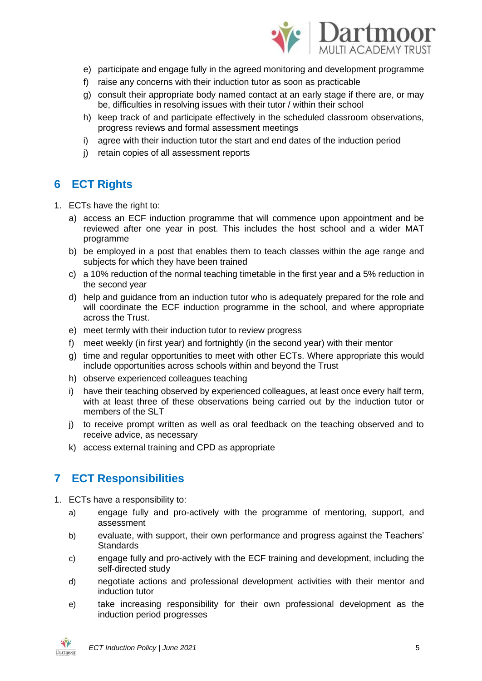

- e) participate and engage fully in the agreed monitoring and development programme
- f) raise any concerns with their induction tutor as soon as practicable
- g) consult their appropriate body named contact at an early stage if there are, or may be, difficulties in resolving issues with their tutor / within their school
- h) keep track of and participate effectively in the scheduled classroom observations, progress reviews and formal assessment meetings
- i) agree with their induction tutor the start and end dates of the induction period
- j) retain copies of all assessment reports

## **6 ECT Rights**

- 1. ECTs have the right to:
	- a) access an ECF induction programme that will commence upon appointment and be reviewed after one year in post. This includes the host school and a wider MAT programme
	- b) be employed in a post that enables them to teach classes within the age range and subjects for which they have been trained
	- c) a 10% reduction of the normal teaching timetable in the first year and a 5% reduction in the second year
	- d) help and guidance from an induction tutor who is adequately prepared for the role and will coordinate the ECF induction programme in the school, and where appropriate across the Trust.
	- e) meet termly with their induction tutor to review progress
	- f) meet weekly (in first year) and fortnightly (in the second year) with their mentor
	- g) time and regular opportunities to meet with other ECTs. Where appropriate this would include opportunities across schools within and beyond the Trust
	- h) observe experienced colleagues teaching
	- i) have their teaching observed by experienced colleagues, at least once every half term, with at least three of these observations being carried out by the induction tutor or members of the SLT
	- j) to receive prompt written as well as oral feedback on the teaching observed and to receive advice, as necessary
	- k) access external training and CPD as appropriate

## **7 ECT Responsibilities**

- 1. ECTs have a responsibility to:
	- a) engage fully and pro-actively with the programme of mentoring, support, and assessment
	- b) evaluate, with support, their own performance and progress against the Teachers' **Standards**
	- c) engage fully and pro-actively with the ECF training and development, including the self-directed study
	- d) negotiate actions and professional development activities with their mentor and induction tutor
	- e) take increasing responsibility for their own professional development as the induction period progresses

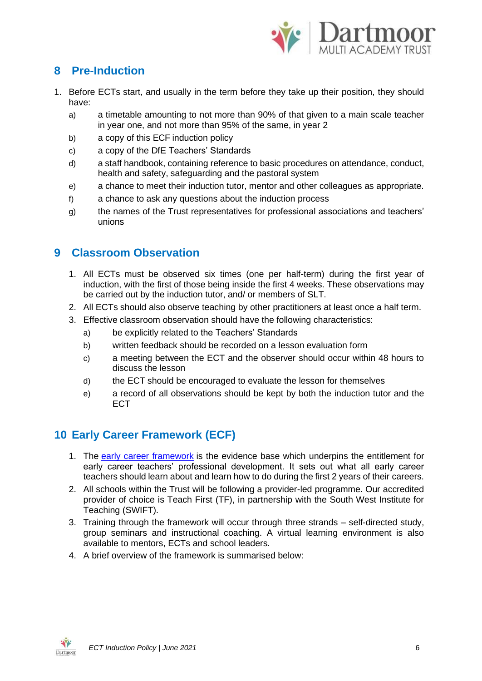

# **8 Pre-Induction**

- 1. Before ECTs start, and usually in the term before they take up their position, they should have:
	- a) a timetable amounting to not more than 90% of that given to a main scale teacher in year one, and not more than 95% of the same, in year 2
	- b) a copy of this ECF induction policy
	- c) a copy of the DfE Teachers' Standards
	- d) a staff handbook, containing reference to basic procedures on attendance, conduct, health and safety, safeguarding and the pastoral system
	- e) a chance to meet their induction tutor, mentor and other colleagues as appropriate.
	- f) a chance to ask any questions about the induction process
	- g) the names of the Trust representatives for professional associations and teachers' unions

## **9 Classroom Observation**

- 1. All ECTs must be observed six times (one per half-term) during the first year of induction, with the first of those being inside the first 4 weeks. These observations may be carried out by the induction tutor, and/ or members of SLT.
- 2. All ECTs should also observe teaching by other practitioners at least once a half term.
- 3. Effective classroom observation should have the following characteristics:
	- a) be explicitly related to the Teachers' Standards
	- b) written feedback should be recorded on a lesson evaluation form
	- c) a meeting between the ECT and the observer should occur within 48 hours to discuss the lesson
	- d) the ECT should be encouraged to evaluate the lesson for themselves
	- e) a record of all observations should be kept by both the induction tutor and the ECT

# **10 Early Career Framework (ECF)**

- 1. The [early career framework](https://www.gov.uk/government/publications/early-career-framework) is the evidence base which underpins the entitlement for early career teachers' professional development. It sets out what all early career teachers should learn about and learn how to do during the first 2 years of their careers.
- 2. All schools within the Trust will be following a provider-led programme. Our accredited provider of choice is Teach First (TF), in partnership with the South West Institute for Teaching (SWIFT).
- 3. Training through the framework will occur through three strands self-directed study, group seminars and instructional coaching. A virtual learning environment is also available to mentors, ECTs and school leaders.
- 4. A brief overview of the framework is summarised below:

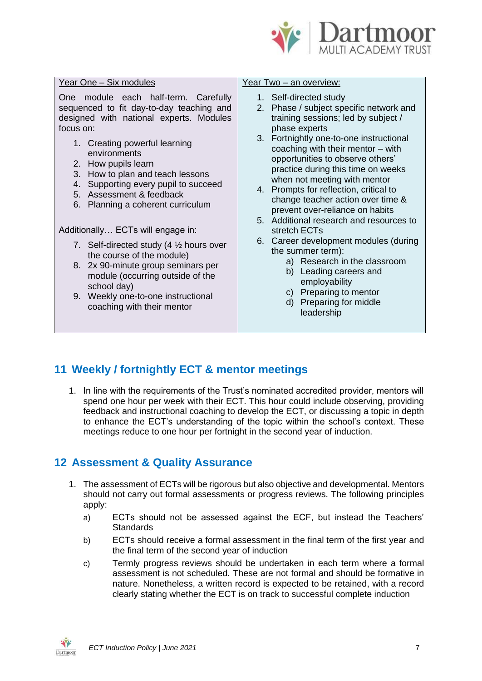

leadership

|                                                                                                                                          | Year One - Six modules                                                                                                                                                                                                     | Year Two - an overview:                                                                                                                                                                                                                                                                                                                             |  |  |
|------------------------------------------------------------------------------------------------------------------------------------------|----------------------------------------------------------------------------------------------------------------------------------------------------------------------------------------------------------------------------|-----------------------------------------------------------------------------------------------------------------------------------------------------------------------------------------------------------------------------------------------------------------------------------------------------------------------------------------------------|--|--|
| One module each half-term. Carefully<br>sequenced to fit day-to-day teaching and<br>designed with national experts. Modules<br>focus on: |                                                                                                                                                                                                                            | 1. Self-directed study<br>2. Phase / subject specific network and<br>training sessions; led by subject /<br>phase experts                                                                                                                                                                                                                           |  |  |
|                                                                                                                                          | 1. Creating powerful learning<br>environments<br>2. How pupils learn<br>How to plan and teach lessons<br>3.<br>Supporting every pupil to succeed<br>4.<br>5. Assessment & feedback<br>Planning a coherent curriculum<br>6. | 3. Fortnightly one-to-one instructional<br>coaching with their mentor - with<br>opportunities to observe others'<br>practice during this time on weeks<br>when not meeting with mentor<br>4. Prompts for reflection, critical to<br>change teacher action over time &<br>prevent over-reliance on habits<br>5. Additional research and resources to |  |  |
|                                                                                                                                          | Additionally ECTs will engage in:                                                                                                                                                                                          | stretch ECTs                                                                                                                                                                                                                                                                                                                                        |  |  |
|                                                                                                                                          | 7. Self-directed study (4 1/2 hours over<br>the course of the module)                                                                                                                                                      | 6. Career development modules (during<br>the summer term):<br>a) Research in the classroom                                                                                                                                                                                                                                                          |  |  |
|                                                                                                                                          | 2x 90-minute group seminars per<br>8.<br>module (occurring outside of the<br>school day)                                                                                                                                   | b) Leading careers and<br>employability                                                                                                                                                                                                                                                                                                             |  |  |
|                                                                                                                                          | Weekly one-to-one instructional<br>9.<br>coaching with their mentor                                                                                                                                                        | c) Preparing to mentor<br>d) Preparing for middle<br>the result of the first state.                                                                                                                                                                                                                                                                 |  |  |

# **11 Weekly / fortnightly ECT & mentor meetings**

1. In line with the requirements of the Trust's nominated accredited provider, mentors will spend one hour per week with their ECT. This hour could include observing, providing feedback and instructional coaching to develop the ECT, or discussing a topic in depth to enhance the ECT's understanding of the topic within the school's context. These meetings reduce to one hour per fortnight in the second year of induction.

## **12 Assessment & Quality Assurance**

- 1. The assessment of ECTs will be rigorous but also objective and developmental. Mentors should not carry out formal assessments or progress reviews. The following principles apply:
	- a) ECTs should not be assessed against the ECF, but instead the Teachers' **Standards**
	- b) ECTs should receive a formal assessment in the final term of the first year and the final term of the second year of induction
	- c) Termly progress reviews should be undertaken in each term where a formal assessment is not scheduled. These are not formal and should be formative in nature. Nonetheless, a written record is expected to be retained, with a record clearly stating whether the ECT is on track to successful complete induction

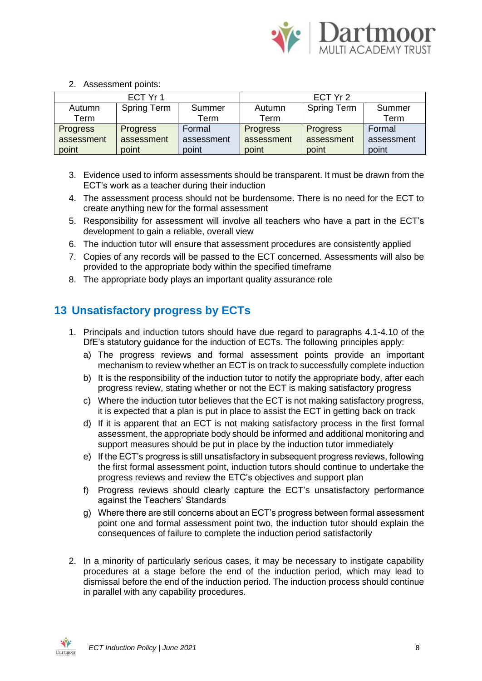

2. Assessment points:

| ECT Yr 1        |                    |            | ECT Yr 2        |                    |            |
|-----------------|--------------------|------------|-----------------|--------------------|------------|
| Autumn          | <b>Spring Term</b> | Summer     | Autumn          | <b>Spring Term</b> | Summer     |
| Term            |                    | Term       | Term            |                    | Term       |
| <b>Progress</b> | <b>Progress</b>    | Formal     | <b>Progress</b> | <b>Progress</b>    | Formal     |
| assessment      | assessment         | assessment | assessment      | assessment         | assessment |
| point           | point              | point      | point           | point              | point      |

- 3. Evidence used to inform assessments should be transparent. It must be drawn from the ECT's work as a teacher during their induction
- 4. The assessment process should not be burdensome. There is no need for the ECT to create anything new for the formal assessment
- 5. Responsibility for assessment will involve all teachers who have a part in the ECT's development to gain a reliable, overall view
- 6. The induction tutor will ensure that assessment procedures are consistently applied
- 7. Copies of any records will be passed to the ECT concerned. Assessments will also be provided to the appropriate body within the specified timeframe
- 8. The appropriate body plays an important quality assurance role

# **13 Unsatisfactory progress by ECTs**

- 1. Principals and induction tutors should have due regard to paragraphs 4.1-4.10 of the DfE's statutory guidance for the induction of ECTs. The following principles apply:
	- a) The progress reviews and formal assessment points provide an important mechanism to review whether an ECT is on track to successfully complete induction
	- b) It is the responsibility of the induction tutor to notify the appropriate body, after each progress review, stating whether or not the ECT is making satisfactory progress
	- c) Where the induction tutor believes that the ECT is not making satisfactory progress, it is expected that a plan is put in place to assist the ECT in getting back on track
	- d) If it is apparent that an ECT is not making satisfactory process in the first formal assessment, the appropriate body should be informed and additional monitoring and support measures should be put in place by the induction tutor immediately
	- e) If the ECT's progress is still unsatisfactory in subsequent progress reviews, following the first formal assessment point, induction tutors should continue to undertake the progress reviews and review the ETC's objectives and support plan
	- f) Progress reviews should clearly capture the ECT's unsatisfactory performance against the Teachers' Standards
	- g) Where there are still concerns about an ECT's progress between formal assessment point one and formal assessment point two, the induction tutor should explain the consequences of failure to complete the induction period satisfactorily
- 2. In a minority of particularly serious cases, it may be necessary to instigate capability procedures at a stage before the end of the induction period, which may lead to dismissal before the end of the induction period. The induction process should continue in parallel with any capability procedures.